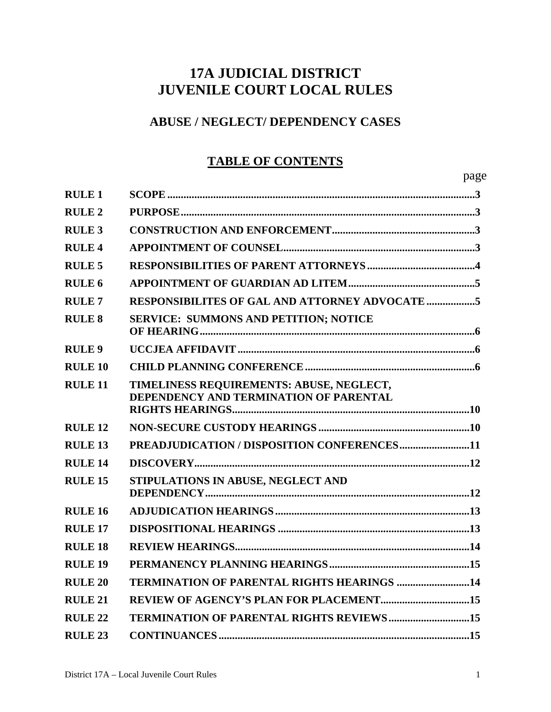# **17A JUDICIAL DISTRICT JUVENILE COURT LOCAL RULES**

## **ABUSE / NEGLECT/ DEPENDENCY CASES**

# **TABLE OF CONTENTS**

| <b>RULE 1</b>      |                                                                                    |
|--------------------|------------------------------------------------------------------------------------|
| <b>RULE 2</b>      |                                                                                    |
| <b>RULE 3</b>      |                                                                                    |
| <b>RULE 4</b>      |                                                                                    |
| <b>RULE 5</b>      |                                                                                    |
| RULE <sub>6</sub>  |                                                                                    |
| <b>RULE7</b>       |                                                                                    |
| <b>RULE 8</b>      | <b>SERVICE: SUMMONS AND PETITION; NOTICE</b>                                       |
| <b>RULE 9</b>      |                                                                                    |
| <b>RULE 10</b>     |                                                                                    |
| <b>RULE 11</b>     | TIMELINESS REQUIREMENTS: ABUSE, NEGLECT,<br>DEPENDENCY AND TERMINATION OF PARENTAL |
| <b>RULE 12</b>     |                                                                                    |
| RULE <sub>13</sub> | PREADJUDICATION / DISPOSITION CONFERENCES11                                        |
| <b>RULE 14</b>     |                                                                                    |
| <b>RULE 15</b>     | STIPULATIONS IN ABUSE, NEGLECT AND                                                 |
| RULE <sub>16</sub> |                                                                                    |
| RULE <sub>17</sub> |                                                                                    |
| <b>RULE 18</b>     |                                                                                    |
| RULE <sub>19</sub> |                                                                                    |
| <b>RULE 20</b>     | <b>TERMINATION OF PARENTAL RIGHTS HEARINGS 14</b>                                  |
| RULE <sub>21</sub> |                                                                                    |
| <b>RULE 22</b>     | <b>TERMINATION OF PARENTAL RIGHTS REVIEWS15</b>                                    |
| <b>RULE 23</b>     |                                                                                    |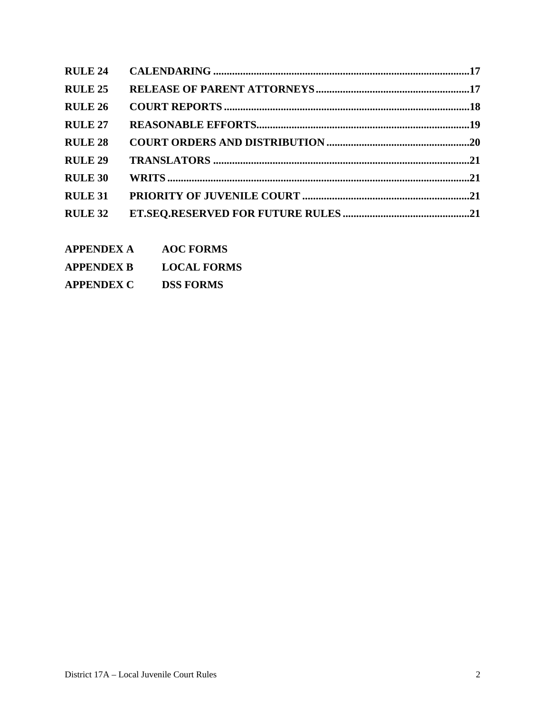| <b>RULE 24</b> |  |
|----------------|--|
| <b>RULE 25</b> |  |
| <b>RULE 26</b> |  |
| <b>RULE 27</b> |  |
| <b>RULE 28</b> |  |
| <b>RULE 29</b> |  |
| <b>RULE 30</b> |  |
| <b>RULE 31</b> |  |
| <b>RULE 32</b> |  |

- **APPENDEX A AOC FORMS**
- **APPENDEX B LOCAL FORMS**
- **APPENDEX C DSS FORMS**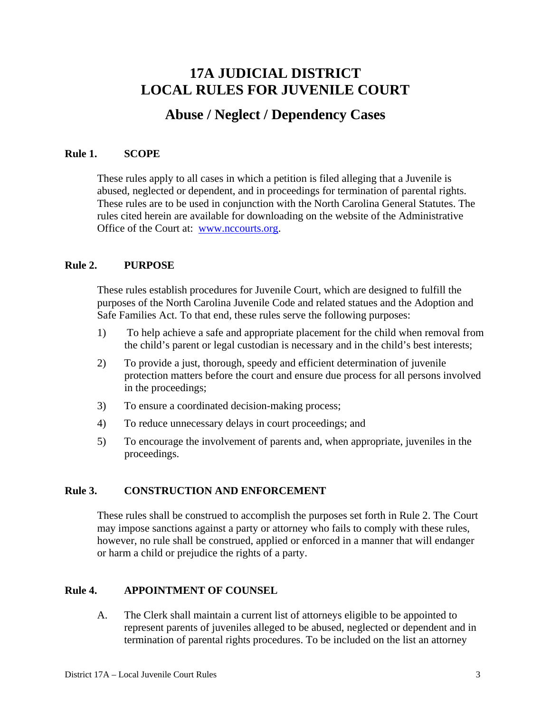## **17A JUDICIAL DISTRICT LOCAL RULES FOR JUVENILE COURT**

## **Abuse / Neglect / Dependency Cases**

### **Rule 1. SCOPE**

 These rules apply to all cases in which a petition is filed alleging that a Juvenile is abused, neglected or dependent, and in proceedings for termination of parental rights. These rules are to be used in conjunction with the North Carolina General Statutes. The rules cited herein are available for downloading on the website of the Administrative Office of the Court at: [www.nccourts.org](http://www.nccourts.org/).

## **Rule 2. PURPOSE**

 These rules establish procedures for Juvenile Court, which are designed to fulfill the purposes of the North Carolina Juvenile Code and related statues and the Adoption and Safe Families Act. To that end, these rules serve the following purposes:

- 1) To help achieve a safe and appropriate placement for the child when removal from the child's parent or legal custodian is necessary and in the child's best interests;
- 2) To provide a just, thorough, speedy and efficient determination of juvenile protection matters before the court and ensure due process for all persons involved in the proceedings;
- 3) To ensure a coordinated decision-making process;
- 4) To reduce unnecessary delays in court proceedings; and
- 5) To encourage the involvement of parents and, when appropriate, juveniles in the proceedings.

### **Rule 3. CONSTRUCTION AND ENFORCEMENT**

These rules shall be construed to accomplish the purposes set forth in Rule 2. The Court may impose sanctions against a party or attorney who fails to comply with these rules, however, no rule shall be construed, applied or enforced in a manner that will endanger or harm a child or prejudice the rights of a party.

## **Rule 4. APPOINTMENT OF COUNSEL**

 A. The Clerk shall maintain a current list of attorneys eligible to be appointed to represent parents of juveniles alleged to be abused, neglected or dependent and in termination of parental rights procedures. To be included on the list an attorney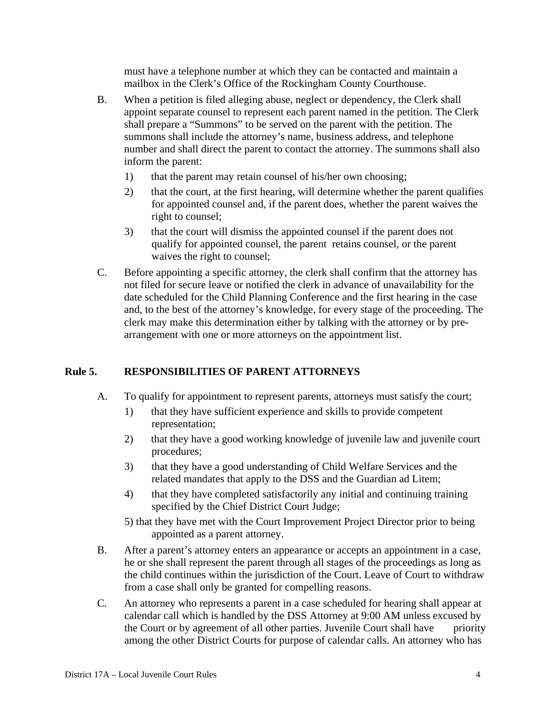must have a telephone number at which they can be contacted and maintain a mailbox in the Clerk's Office of the Rockingham County Courthouse.

- B. When a petition is filed alleging abuse, neglect or dependency, the Clerk shall appoint separate counsel to represent each parent named in the petition. The Clerk shall prepare a "Summons" to be served on the parent with the petition. The summons shall include the attorney's name, business address, and telephone number and shall direct the parent to contact the attorney. The summons shall also inform the parent:
	- 1) that the parent may retain counsel of his/her own choosing;
	- 2) that the court, at the first hearing, will determine whether the parent qualifies for appointed counsel and, if the parent does, whether the parent waives the right to counsel;
	- 3) that the court will dismiss the appointed counsel if the parent does not qualify for appointed counsel, the parent retains counsel, or the parent waives the right to counsel;
- C. Before appointing a specific attorney, the clerk shall confirm that the attorney has not filed for secure leave or notified the clerk in advance of unavailability for the date scheduled for the Child Planning Conference and the first hearing in the case and, to the best of the attorney's knowledge, for every stage of the proceeding. The clerk may make this determination either by talking with the attorney or by prearrangement with one or more attorneys on the appointment list.

## **Rule 5. RESPONSIBILITIES OF PARENT ATTORNEYS**

- A. To qualify for appointment to represent parents, attorneys must satisfy the court;
	- 1) that they have sufficient experience and skills to provide competent representation;
	- 2) that they have a good working knowledge of juvenile law and juvenile court procedures;
	- 3) that they have a good understanding of Child Welfare Services and the related mandates that apply to the DSS and the Guardian ad Litem;
	- 4) that they have completed satisfactorily any initial and continuing training specified by the Chief District Court Judge;
	- 5) that they have met with the Court Improvement Project Director prior to being appointed as a parent attorney.
- B. After a parent's attorney enters an appearance or accepts an appointment in a case, he or she shall represent the parent through all stages of the proceedings as long as the child continues within the jurisdiction of the Court. Leave of Court to withdraw from a case shall only be granted for compelling reasons.
- C. An attorney who represents a parent in a case scheduled for hearing shall appear at calendar call which is handled by the DSS Attorney at 9:00 AM unless excused by the Court or by agreement of all other parties. Juvenile Court shall have priority among the other District Courts for purpose of calendar calls. An attorney who has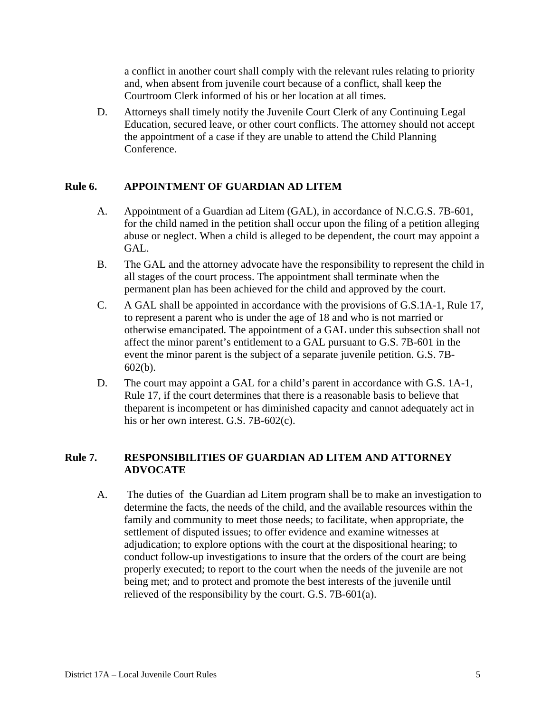a conflict in another court shall comply with the relevant rules relating to priority and, when absent from juvenile court because of a conflict, shall keep the Courtroom Clerk informed of his or her location at all times.

 D. Attorneys shall timely notify the Juvenile Court Clerk of any Continuing Legal Education, secured leave, or other court conflicts. The attorney should not accept the appointment of a case if they are unable to attend the Child Planning Conference.

## **Rule 6. APPOINTMENT OF GUARDIAN AD LITEM**

- A. Appointment of a Guardian ad Litem (GAL), in accordance of N.C.G.S. 7B-601, for the child named in the petition shall occur upon the filing of a petition alleging abuse or neglect. When a child is alleged to be dependent, the court may appoint a GAL.
- B. The GAL and the attorney advocate have the responsibility to represent the child in all stages of the court process. The appointment shall terminate when the permanent plan has been achieved for the child and approved by the court.
- C. A GAL shall be appointed in accordance with the provisions of G.S.1A-1, Rule 17, to represent a parent who is under the age of 18 and who is not married or otherwise emancipated. The appointment of a GAL under this subsection shall not affect the minor parent's entitlement to a GAL pursuant to G.S. 7B-601 in the event the minor parent is the subject of a separate juvenile petition. G.S. 7B-602(b).
- D. The court may appoint a GAL for a child's parent in accordance with G.S. 1A-1, Rule 17, if the court determines that there is a reasonable basis to believe that theparent is incompetent or has diminished capacity and cannot adequately act in his or her own interest. G.S. 7B-602(c).

## **Rule 7. RESPONSIBILITIES OF GUARDIAN AD LITEM AND ATTORNEY ADVOCATE**

 A. The duties of the Guardian ad Litem program shall be to make an investigation to determine the facts, the needs of the child, and the available resources within the family and community to meet those needs; to facilitate, when appropriate, the settlement of disputed issues; to offer evidence and examine witnesses at adjudication; to explore options with the court at the dispositional hearing; to conduct follow-up investigations to insure that the orders of the court are being properly executed; to report to the court when the needs of the juvenile are not being met; and to protect and promote the best interests of the juvenile until relieved of the responsibility by the court. G.S. 7B-601(a).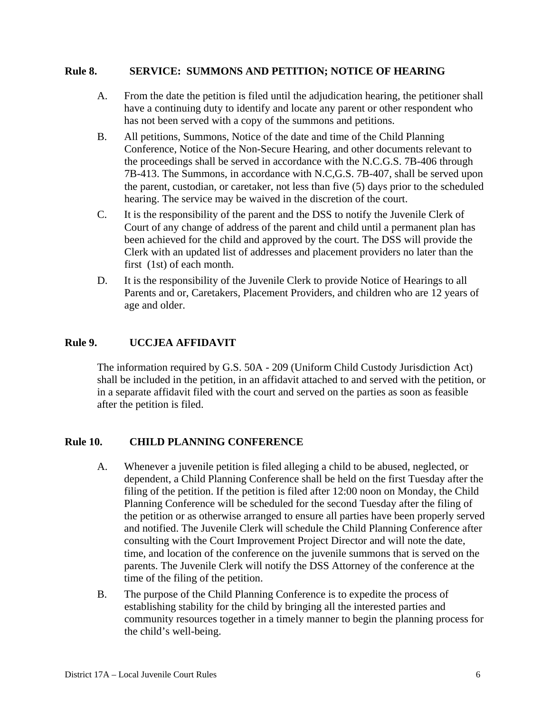#### **Rule 8. SERVICE: SUMMONS AND PETITION; NOTICE OF HEARING**

- A. From the date the petition is filed until the adjudication hearing, the petitioner shall have a continuing duty to identify and locate any parent or other respondent who has not been served with a copy of the summons and petitions.
- B. All petitions, Summons, Notice of the date and time of the Child Planning Conference, Notice of the Non-Secure Hearing, and other documents relevant to the proceedings shall be served in accordance with the N.C.G.S. 7B-406 through 7B-413. The Summons, in accordance with N.C,G.S. 7B-407, shall be served upon the parent, custodian, or caretaker, not less than five (5) days prior to the scheduled hearing. The service may be waived in the discretion of the court.
- C. It is the responsibility of the parent and the DSS to notify the Juvenile Clerk of Court of any change of address of the parent and child until a permanent plan has been achieved for the child and approved by the court. The DSS will provide the Clerk with an updated list of addresses and placement providers no later than the first (1st) of each month.
- D. It is the responsibility of the Juvenile Clerk to provide Notice of Hearings to all Parents and or, Caretakers, Placement Providers, and children who are 12 years of age and older.

## **Rule 9. UCCJEA AFFIDAVIT**

 The information required by G.S. 50A - 209 (Uniform Child Custody Jurisdiction Act) shall be included in the petition, in an affidavit attached to and served with the petition, or in a separate affidavit filed with the court and served on the parties as soon as feasible after the petition is filed.

### **Rule 10. CHILD PLANNING CONFERENCE**

- A. Whenever a juvenile petition is filed alleging a child to be abused, neglected, or dependent, a Child Planning Conference shall be held on the first Tuesday after the filing of the petition. If the petition is filed after 12:00 noon on Monday, the Child Planning Conference will be scheduled for the second Tuesday after the filing of the petition or as otherwise arranged to ensure all parties have been properly served and notified. The Juvenile Clerk will schedule the Child Planning Conference after consulting with the Court Improvement Project Director and will note the date, time, and location of the conference on the juvenile summons that is served on the parents. The Juvenile Clerk will notify the DSS Attorney of the conference at the time of the filing of the petition.
- B. The purpose of the Child Planning Conference is to expedite the process of establishing stability for the child by bringing all the interested parties and community resources together in a timely manner to begin the planning process for the child's well-being.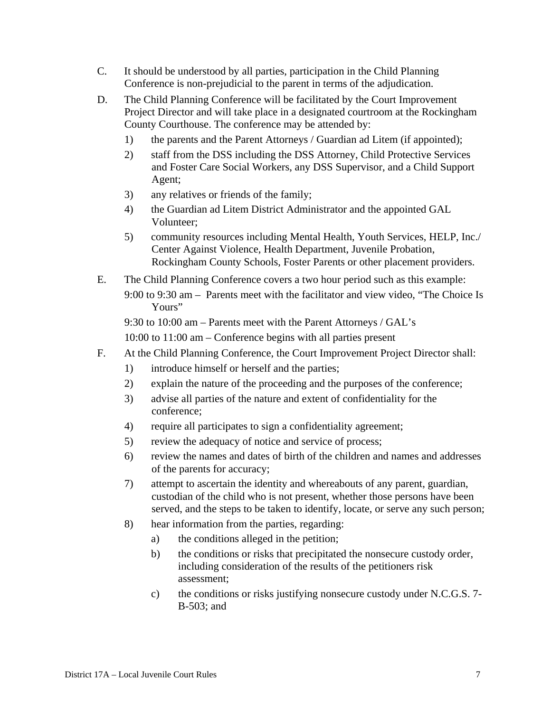- C. It should be understood by all parties, participation in the Child Planning Conference is non-prejudicial to the parent in terms of the adjudication.
- D. The Child Planning Conference will be facilitated by the Court Improvement Project Director and will take place in a designated courtroom at the Rockingham County Courthouse. The conference may be attended by:
	- 1) the parents and the Parent Attorneys / Guardian ad Litem (if appointed);
	- 2) staff from the DSS including the DSS Attorney, Child Protective Services and Foster Care Social Workers, any DSS Supervisor, and a Child Support Agent;
	- 3) any relatives or friends of the family;
	- 4) the Guardian ad Litem District Administrator and the appointed GAL Volunteer;
	- 5) community resources including Mental Health, Youth Services, HELP, Inc./ Center Against Violence, Health Department, Juvenile Probation, Rockingham County Schools, Foster Parents or other placement providers.
- E. The Child Planning Conference covers a two hour period such as this example: 9:00 to 9:30 am – Parents meet with the facilitator and view video, "The Choice Is Yours"

9:30 to 10:00 am – Parents meet with the Parent Attorneys / GAL's

10:00 to 11:00 am – Conference begins with all parties present

- F. At the Child Planning Conference, the Court Improvement Project Director shall:
	- 1) introduce himself or herself and the parties;
	- 2) explain the nature of the proceeding and the purposes of the conference;
	- 3) advise all parties of the nature and extent of confidentiality for the conference;
	- 4) require all participates to sign a confidentiality agreement;
	- 5) review the adequacy of notice and service of process;
	- 6) review the names and dates of birth of the children and names and addresses of the parents for accuracy;
	- 7) attempt to ascertain the identity and whereabouts of any parent, guardian, custodian of the child who is not present, whether those persons have been served, and the steps to be taken to identify, locate, or serve any such person;
	- 8) hear information from the parties, regarding:
		- a) the conditions alleged in the petition;
		- b) the conditions or risks that precipitated the nonsecure custody order, including consideration of the results of the petitioners risk assessment;
		- c) the conditions or risks justifying nonsecure custody under N.C.G.S. 7- B-503; and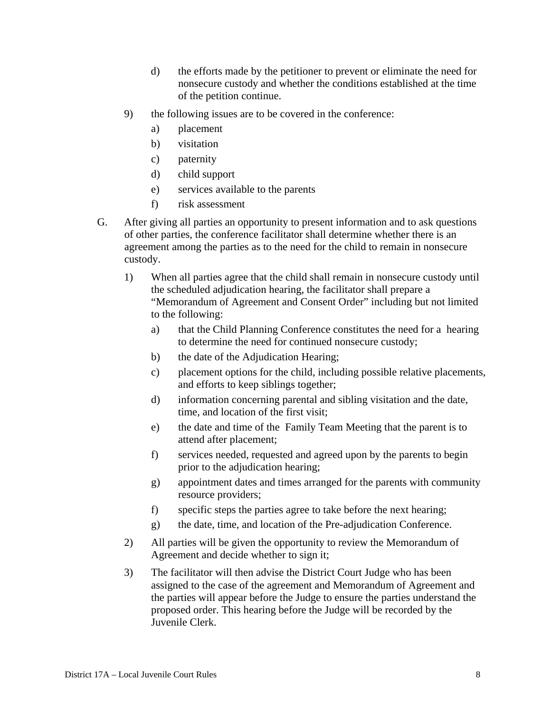- d) the efforts made by the petitioner to prevent or eliminate the need for nonsecure custody and whether the conditions established at the time of the petition continue.
- 9) the following issues are to be covered in the conference:
	- a) placement
	- b) visitation
	- c) paternity
	- d) child support
	- e) services available to the parents
	- f) risk assessment
- G. After giving all parties an opportunity to present information and to ask questions of other parties, the conference facilitator shall determine whether there is an agreement among the parties as to the need for the child to remain in nonsecure custody.
	- 1) When all parties agree that the child shall remain in nonsecure custody until the scheduled adjudication hearing, the facilitator shall prepare a "Memorandum of Agreement and Consent Order" including but not limited to the following:
		- a) that the Child Planning Conference constitutes the need for a hearing to determine the need for continued nonsecure custody;
		- b) the date of the Adjudication Hearing;
		- c) placement options for the child, including possible relative placements, and efforts to keep siblings together;
		- d) information concerning parental and sibling visitation and the date, time, and location of the first visit;
		- e) the date and time of the Family Team Meeting that the parent is to attend after placement;
		- f) services needed, requested and agreed upon by the parents to begin prior to the adjudication hearing;
		- g) appointment dates and times arranged for the parents with community resource providers;
		- f) specific steps the parties agree to take before the next hearing;
		- g) the date, time, and location of the Pre-adjudication Conference.
	- 2) All parties will be given the opportunity to review the Memorandum of Agreement and decide whether to sign it;
	- 3) The facilitator will then advise the District Court Judge who has been assigned to the case of the agreement and Memorandum of Agreement and the parties will appear before the Judge to ensure the parties understand the proposed order. This hearing before the Judge will be recorded by the Juvenile Clerk.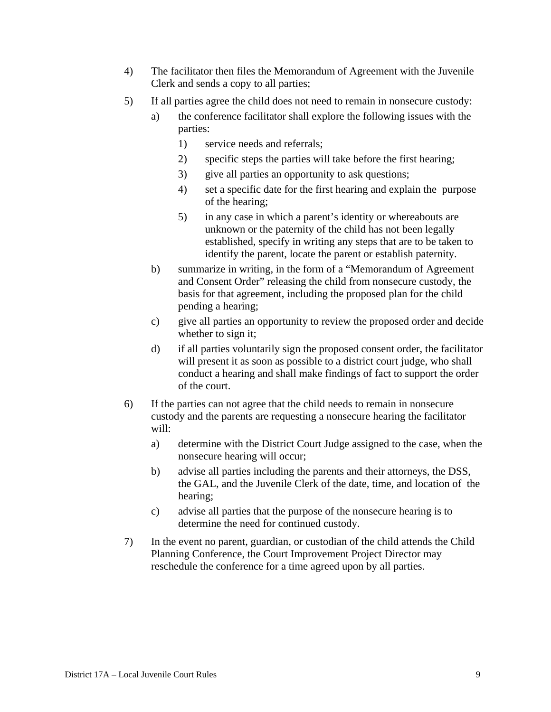- 4) The facilitator then files the Memorandum of Agreement with the Juvenile Clerk and sends a copy to all parties;
- 5) If all parties agree the child does not need to remain in nonsecure custody:
	- a) the conference facilitator shall explore the following issues with the parties:
		- 1) service needs and referrals;
		- 2) specific steps the parties will take before the first hearing;
		- 3) give all parties an opportunity to ask questions;
		- 4) set a specific date for the first hearing and explain the purpose of the hearing;
		- 5) in any case in which a parent's identity or whereabouts are unknown or the paternity of the child has not been legally established, specify in writing any steps that are to be taken to identify the parent, locate the parent or establish paternity.
	- b) summarize in writing, in the form of a "Memorandum of Agreement and Consent Order" releasing the child from nonsecure custody, the basis for that agreement, including the proposed plan for the child pending a hearing;
	- c) give all parties an opportunity to review the proposed order and decide whether to sign it;
	- d) if all parties voluntarily sign the proposed consent order, the facilitator will present it as soon as possible to a district court judge, who shall conduct a hearing and shall make findings of fact to support the order of the court.
- 6) If the parties can not agree that the child needs to remain in nonsecure custody and the parents are requesting a nonsecure hearing the facilitator will:
	- a) determine with the District Court Judge assigned to the case, when the nonsecure hearing will occur;
	- b) advise all parties including the parents and their attorneys, the DSS, the GAL, and the Juvenile Clerk of the date, time, and location of the hearing;
	- c) advise all parties that the purpose of the nonsecure hearing is to determine the need for continued custody.
- 7) In the event no parent, guardian, or custodian of the child attends the Child Planning Conference, the Court Improvement Project Director may reschedule the conference for a time agreed upon by all parties.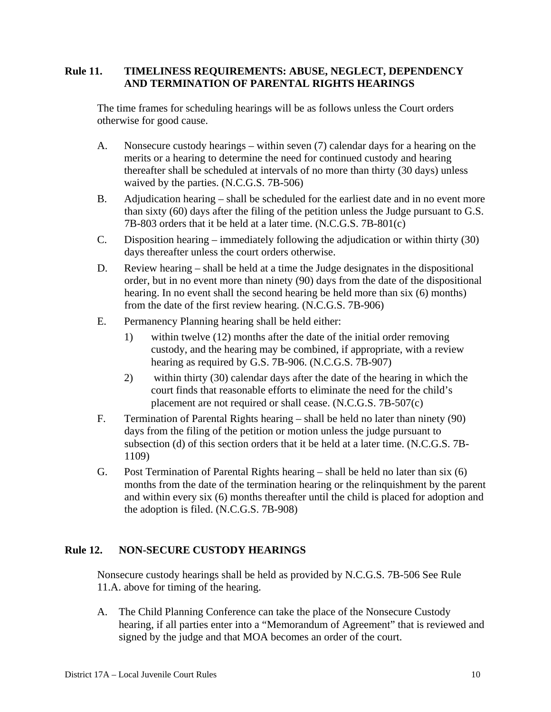## **Rule 11. TIMELINESS REQUIREMENTS: ABUSE, NEGLECT, DEPENDENCY AND TERMINATION OF PARENTAL RIGHTS HEARINGS**

The time frames for scheduling hearings will be as follows unless the Court orders otherwise for good cause.

- A. Nonsecure custody hearings within seven (7) calendar days for a hearing on the merits or a hearing to determine the need for continued custody and hearing thereafter shall be scheduled at intervals of no more than thirty (30 days) unless waived by the parties. (N.C.G.S. 7B-506)
- B. Adjudication hearing shall be scheduled for the earliest date and in no event more than sixty (60) days after the filing of the petition unless the Judge pursuant to G.S. 7B-803 orders that it be held at a later time. (N.C.G.S. 7B-801(c)
- C. Disposition hearing immediately following the adjudication or within thirty (30) days thereafter unless the court orders otherwise.
- D. Review hearing shall be held at a time the Judge designates in the dispositional order, but in no event more than ninety (90) days from the date of the dispositional hearing. In no event shall the second hearing be held more than six (6) months) from the date of the first review hearing. (N.C.G.S. 7B-906)
- E. Permanency Planning hearing shall be held either:
	- 1) within twelve (12) months after the date of the initial order removing custody, and the hearing may be combined, if appropriate, with a review hearing as required by G.S. 7B-906. (N.C.G.S. 7B-907)
	- 2) within thirty (30) calendar days after the date of the hearing in which the court finds that reasonable efforts to eliminate the need for the child's placement are not required or shall cease. (N.C.G.S. 7B-507(c)
- F. Termination of Parental Rights hearing shall be held no later than ninety (90) days from the filing of the petition or motion unless the judge pursuant to subsection (d) of this section orders that it be held at a later time. (N.C.G.S. 7B-1109)
- G. Post Termination of Parental Rights hearing shall be held no later than six (6) months from the date of the termination hearing or the relinquishment by the parent and within every six (6) months thereafter until the child is placed for adoption and the adoption is filed. (N.C.G.S. 7B-908)

## **Rule 12. NON-SECURE CUSTODY HEARINGS**

 Nonsecure custody hearings shall be held as provided by N.C.G.S. 7B-506 See Rule 11.A. above for timing of the hearing.

 A. The Child Planning Conference can take the place of the Nonsecure Custody hearing, if all parties enter into a "Memorandum of Agreement" that is reviewed and signed by the judge and that MOA becomes an order of the court.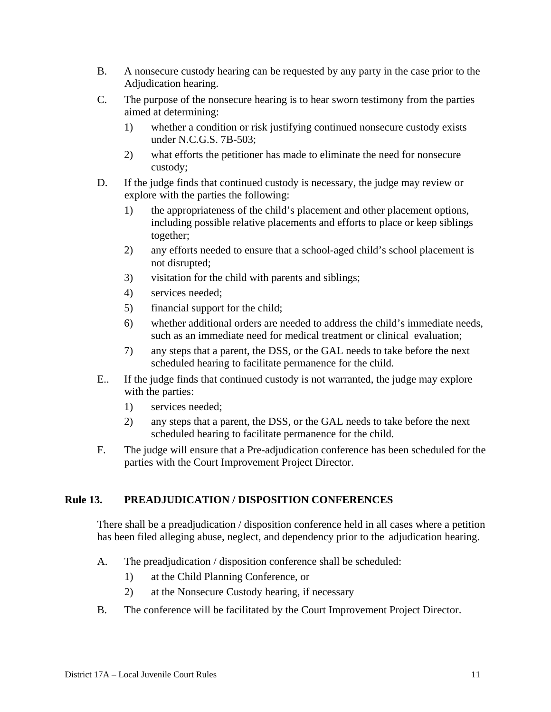- B. A nonsecure custody hearing can be requested by any party in the case prior to the Adjudication hearing.
- C. The purpose of the nonsecure hearing is to hear sworn testimony from the parties aimed at determining:
	- 1) whether a condition or risk justifying continued nonsecure custody exists under N.C.G.S. 7B-503;
	- 2) what efforts the petitioner has made to eliminate the need for nonsecure custody;
- D. If the judge finds that continued custody is necessary, the judge may review or explore with the parties the following:
	- 1) the appropriateness of the child's placement and other placement options, including possible relative placements and efforts to place or keep siblings together;
	- 2) any efforts needed to ensure that a school-aged child's school placement is not disrupted;
	- 3) visitation for the child with parents and siblings;
	- 4) services needed;
	- 5) financial support for the child;
	- 6) whether additional orders are needed to address the child's immediate needs, such as an immediate need for medical treatment or clinical evaluation;
	- 7) any steps that a parent, the DSS, or the GAL needs to take before the next scheduled hearing to facilitate permanence for the child.
- E.. If the judge finds that continued custody is not warranted, the judge may explore with the parties:
	- 1) services needed;
	- 2) any steps that a parent, the DSS, or the GAL needs to take before the next scheduled hearing to facilitate permanence for the child.
- F. The judge will ensure that a Pre-adjudication conference has been scheduled for the parties with the Court Improvement Project Director.

## **Rule 13. PREADJUDICATION / DISPOSITION CONFERENCES**

 There shall be a preadjudication / disposition conference held in all cases where a petition has been filed alleging abuse, neglect, and dependency prior to the adjudication hearing.

- A. The preadjudication / disposition conference shall be scheduled:
	- 1) at the Child Planning Conference, or
	- 2) at the Nonsecure Custody hearing, if necessary
- B. The conference will be facilitated by the Court Improvement Project Director.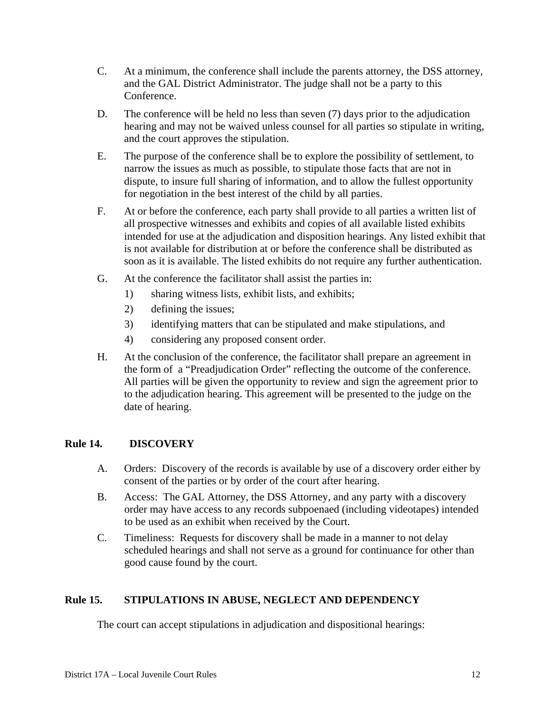- C. At a minimum, the conference shall include the parents attorney, the DSS attorney, and the GAL District Administrator. The judge shall not be a party to this Conference.
- D. The conference will be held no less than seven (7) days prior to the adjudication hearing and may not be waived unless counsel for all parties so stipulate in writing, and the court approves the stipulation.
- E. The purpose of the conference shall be to explore the possibility of settlement, to narrow the issues as much as possible, to stipulate those facts that are not in dispute, to insure full sharing of information, and to allow the fullest opportunity for negotiation in the best interest of the child by all parties.
- F. At or before the conference, each party shall provide to all parties a written list of all prospective witnesses and exhibits and copies of all available listed exhibits intended for use at the adjudication and disposition hearings. Any listed exhibit that is not available for distribution at or before the conference shall be distributed as soon as it is available. The listed exhibits do not require any further authentication.
- G. At the conference the facilitator shall assist the parties in:
	- 1) sharing witness lists, exhibit lists, and exhibits;
	- 2) defining the issues;
	- 3) identifying matters that can be stipulated and make stipulations, and
	- 4) considering any proposed consent order.
- H. At the conclusion of the conference, the facilitator shall prepare an agreement in the form of a "Preadjudication Order" reflecting the outcome of the conference. All parties will be given the opportunity to review and sign the agreement prior to to the adjudication hearing. This agreement will be presented to the judge on the date of hearing.

### **Rule 14. DISCOVERY**

- A. Orders: Discovery of the records is available by use of a discovery order either by consent of the parties or by order of the court after hearing.
- B. Access: The GAL Attorney, the DSS Attorney, and any party with a discovery order may have access to any records subpoenaed (including videotapes) intended to be used as an exhibit when received by the Court.
- C. Timeliness: Requests for discovery shall be made in a manner to not delay scheduled hearings and shall not serve as a ground for continuance for other than good cause found by the court.

## **Rule 15. STIPULATIONS IN ABUSE, NEGLECT AND DEPENDENCY**

The court can accept stipulations in adjudication and dispositional hearings: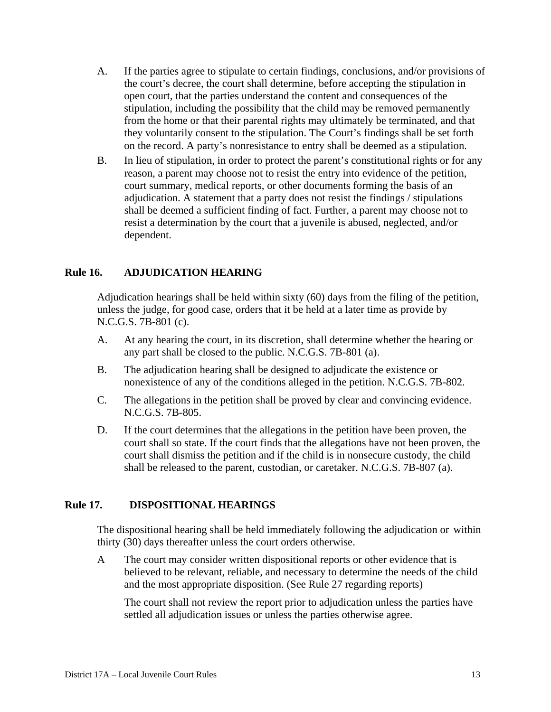- A. If the parties agree to stipulate to certain findings, conclusions, and/or provisions of the court's decree, the court shall determine, before accepting the stipulation in open court, that the parties understand the content and consequences of the stipulation, including the possibility that the child may be removed permanently from the home or that their parental rights may ultimately be terminated, and that they voluntarily consent to the stipulation. The Court's findings shall be set forth on the record. A party's nonresistance to entry shall be deemed as a stipulation.
- B. In lieu of stipulation, in order to protect the parent's constitutional rights or for any reason, a parent may choose not to resist the entry into evidence of the petition, court summary, medical reports, or other documents forming the basis of an adjudication. A statement that a party does not resist the findings / stipulations shall be deemed a sufficient finding of fact. Further, a parent may choose not to resist a determination by the court that a juvenile is abused, neglected, and/or dependent.

### **Rule 16. ADJUDICATION HEARING**

Adjudication hearings shall be held within sixty (60) days from the filing of the petition, unless the judge, for good case, orders that it be held at a later time as provide by N.C.G.S. 7B-801 (c).

- A. At any hearing the court, in its discretion, shall determine whether the hearing or any part shall be closed to the public. N.C.G.S. 7B-801 (a).
- B. The adjudication hearing shall be designed to adjudicate the existence or nonexistence of any of the conditions alleged in the petition. N.C.G.S. 7B-802.
- C. The allegations in the petition shall be proved by clear and convincing evidence. N.C.G.S. 7B-805.
- D. If the court determines that the allegations in the petition have been proven, the court shall so state. If the court finds that the allegations have not been proven, the court shall dismiss the petition and if the child is in nonsecure custody, the child shall be released to the parent, custodian, or caretaker. N.C.G.S. 7B-807 (a).

## **Rule 17. DISPOSITIONAL HEARINGS**

The dispositional hearing shall be held immediately following the adjudication or within thirty (30) days thereafter unless the court orders otherwise.

A The court may consider written dispositional reports or other evidence that is believed to be relevant, reliable, and necessary to determine the needs of the child and the most appropriate disposition. (See Rule 27 regarding reports)

 The court shall not review the report prior to adjudication unless the parties have settled all adjudication issues or unless the parties otherwise agree.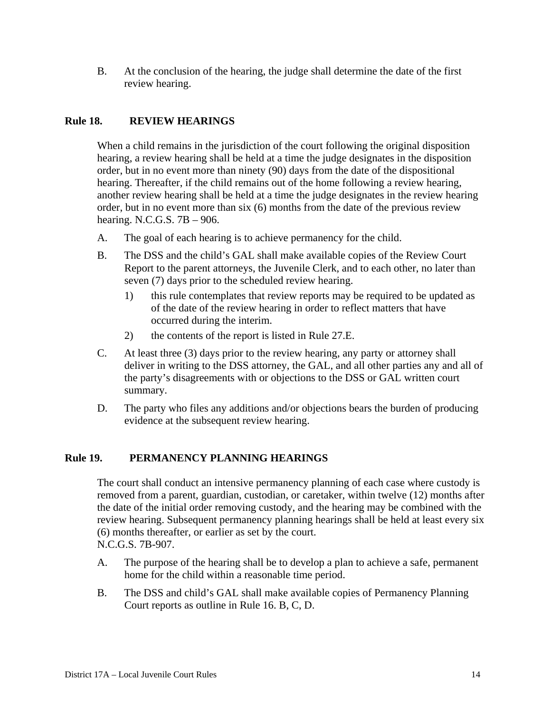B. At the conclusion of the hearing, the judge shall determine the date of the first review hearing.

## **Rule 18. REVIEW HEARINGS**

When a child remains in the jurisdiction of the court following the original disposition hearing, a review hearing shall be held at a time the judge designates in the disposition order, but in no event more than ninety (90) days from the date of the dispositional hearing. Thereafter, if the child remains out of the home following a review hearing, another review hearing shall be held at a time the judge designates in the review hearing order, but in no event more than six (6) months from the date of the previous review hearing. N.C.G.S. 7B – 906.

- A. The goal of each hearing is to achieve permanency for the child.
- B. The DSS and the child's GAL shall make available copies of the Review Court Report to the parent attorneys, the Juvenile Clerk, and to each other, no later than seven (7) days prior to the scheduled review hearing.
	- 1) this rule contemplates that review reports may be required to be updated as of the date of the review hearing in order to reflect matters that have occurred during the interim.
	- 2) the contents of the report is listed in Rule 27.E.
- C. At least three (3) days prior to the review hearing, any party or attorney shall deliver in writing to the DSS attorney, the GAL, and all other parties any and all of the party's disagreements with or objections to the DSS or GAL written court summary.
- D. The party who files any additions and/or objections bears the burden of producing evidence at the subsequent review hearing.

## **Rule 19. PERMANENCY PLANNING HEARINGS**

The court shall conduct an intensive permanency planning of each case where custody is removed from a parent, guardian, custodian, or caretaker, within twelve (12) months after the date of the initial order removing custody, and the hearing may be combined with the review hearing. Subsequent permanency planning hearings shall be held at least every six (6) months thereafter, or earlier as set by the court. N.C.G.S. 7B-907.

- A. The purpose of the hearing shall be to develop a plan to achieve a safe, permanent home for the child within a reasonable time period.
- B. The DSS and child's GAL shall make available copies of Permanency Planning Court reports as outline in Rule 16. B, C, D.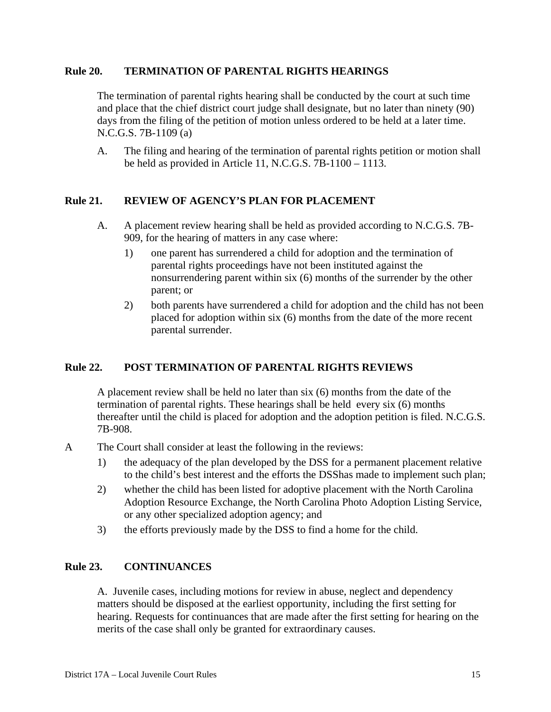#### **Rule 20. TERMINATION OF PARENTAL RIGHTS HEARINGS**

The termination of parental rights hearing shall be conducted by the court at such time and place that the chief district court judge shall designate, but no later than ninety (90) days from the filing of the petition of motion unless ordered to be held at a later time. N.C.G.S. 7B-1109 (a)

A. The filing and hearing of the termination of parental rights petition or motion shall be held as provided in Article 11, N.C.G.S. 7B-1100 – 1113.

## **Rule 21. REVIEW OF AGENCY'S PLAN FOR PLACEMENT**

- A. A placement review hearing shall be held as provided according to N.C.G.S. 7B-909, for the hearing of matters in any case where:
	- 1) one parent has surrendered a child for adoption and the termination of parental rights proceedings have not been instituted against the nonsurrendering parent within six (6) months of the surrender by the other parent; or
	- 2) both parents have surrendered a child for adoption and the child has not been placed for adoption within six (6) months from the date of the more recent parental surrender.

### **Rule 22. POST TERMINATION OF PARENTAL RIGHTS REVIEWS**

A placement review shall be held no later than six (6) months from the date of the termination of parental rights. These hearings shall be held every six (6) months thereafter until the child is placed for adoption and the adoption petition is filed. N.C.G.S. 7B-908.

- A The Court shall consider at least the following in the reviews:
	- 1) the adequacy of the plan developed by the DSS for a permanent placement relative to the child's best interest and the efforts the DSShas made to implement such plan;
	- 2) whether the child has been listed for adoptive placement with the North Carolina Adoption Resource Exchange, the North Carolina Photo Adoption Listing Service, or any other specialized adoption agency; and
	- 3) the efforts previously made by the DSS to find a home for the child.

#### **Rule 23. CONTINUANCES**

A. Juvenile cases, including motions for review in abuse, neglect and dependency matters should be disposed at the earliest opportunity, including the first setting for hearing. Requests for continuances that are made after the first setting for hearing on the merits of the case shall only be granted for extraordinary causes.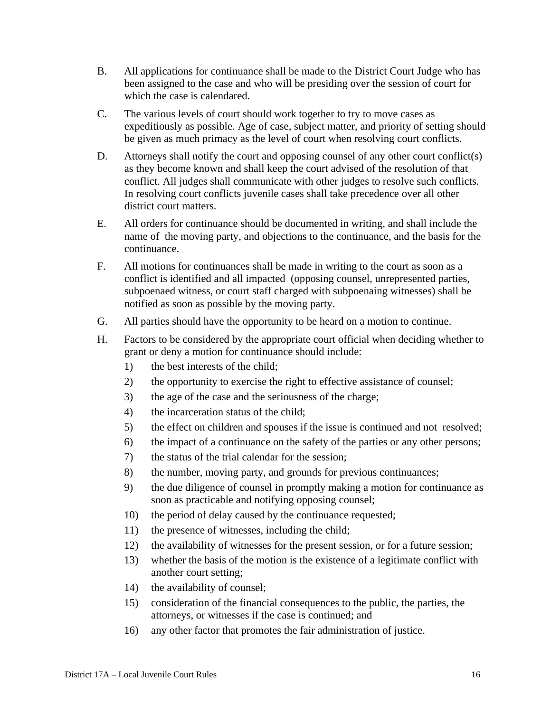- B. All applications for continuance shall be made to the District Court Judge who has been assigned to the case and who will be presiding over the session of court for which the case is calendared.
- C. The various levels of court should work together to try to move cases as expeditiously as possible. Age of case, subject matter, and priority of setting should be given as much primacy as the level of court when resolving court conflicts.
- D. Attorneys shall notify the court and opposing counsel of any other court conflict(s) as they become known and shall keep the court advised of the resolution of that conflict. All judges shall communicate with other judges to resolve such conflicts. In resolving court conflicts juvenile cases shall take precedence over all other district court matters.
- E. All orders for continuance should be documented in writing, and shall include the name of the moving party, and objections to the continuance, and the basis for the continuance.
- F. All motions for continuances shall be made in writing to the court as soon as a conflict is identified and all impacted (opposing counsel, unrepresented parties, subpoenaed witness, or court staff charged with subpoenaing witnesses) shall be notified as soon as possible by the moving party.
- G. All parties should have the opportunity to be heard on a motion to continue.
- H. Factors to be considered by the appropriate court official when deciding whether to grant or deny a motion for continuance should include:
	- 1) the best interests of the child;
	- 2) the opportunity to exercise the right to effective assistance of counsel;
	- 3) the age of the case and the seriousness of the charge;
	- 4) the incarceration status of the child;
	- 5) the effect on children and spouses if the issue is continued and not resolved;
	- 6) the impact of a continuance on the safety of the parties or any other persons;
	- 7) the status of the trial calendar for the session;
	- 8) the number, moving party, and grounds for previous continuances;
	- 9) the due diligence of counsel in promptly making a motion for continuance as soon as practicable and notifying opposing counsel;
	- 10) the period of delay caused by the continuance requested;
	- 11) the presence of witnesses, including the child;
	- 12) the availability of witnesses for the present session, or for a future session;
	- 13) whether the basis of the motion is the existence of a legitimate conflict with another court setting;
	- 14) the availability of counsel;
	- 15) consideration of the financial consequences to the public, the parties, the attorneys, or witnesses if the case is continued; and
	- 16) any other factor that promotes the fair administration of justice.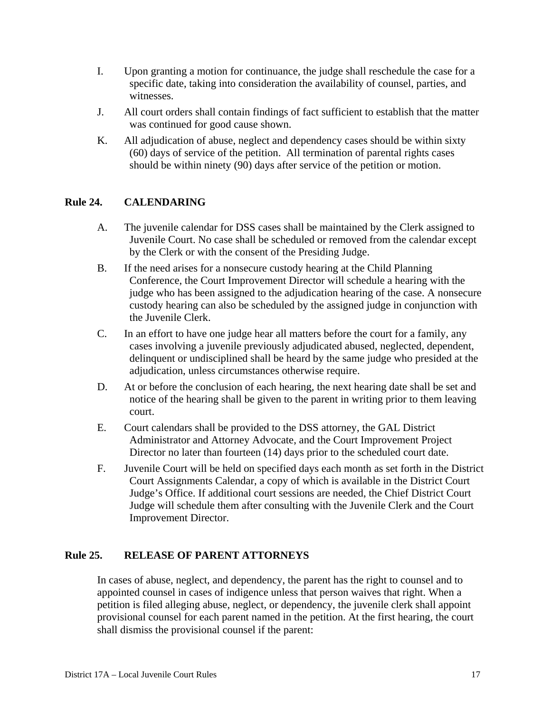- I. Upon granting a motion for continuance, the judge shall reschedule the case for a specific date, taking into consideration the availability of counsel, parties, and witnesses.
- J. All court orders shall contain findings of fact sufficient to establish that the matter was continued for good cause shown.
- K. All adjudication of abuse, neglect and dependency cases should be within sixty (60) days of service of the petition. All termination of parental rights cases should be within ninety (90) days after service of the petition or motion.

## **Rule 24. CALENDARING**

- A. The juvenile calendar for DSS cases shall be maintained by the Clerk assigned to Juvenile Court. No case shall be scheduled or removed from the calendar except by the Clerk or with the consent of the Presiding Judge.
- B. If the need arises for a nonsecure custody hearing at the Child Planning Conference, the Court Improvement Director will schedule a hearing with the judge who has been assigned to the adjudication hearing of the case. A nonsecure custody hearing can also be scheduled by the assigned judge in conjunction with the Juvenile Clerk.
- C. In an effort to have one judge hear all matters before the court for a family, any cases involving a juvenile previously adjudicated abused, neglected, dependent, delinquent or undisciplined shall be heard by the same judge who presided at the adjudication, unless circumstances otherwise require.
- D. At or before the conclusion of each hearing, the next hearing date shall be set and notice of the hearing shall be given to the parent in writing prior to them leaving court.
- E. Court calendars shall be provided to the DSS attorney, the GAL District Administrator and Attorney Advocate, and the Court Improvement Project Director no later than fourteen (14) days prior to the scheduled court date.
- F. Juvenile Court will be held on specified days each month as set forth in the District Court Assignments Calendar, a copy of which is available in the District Court Judge's Office. If additional court sessions are needed, the Chief District Court Judge will schedule them after consulting with the Juvenile Clerk and the Court Improvement Director.

### **Rule 25. RELEASE OF PARENT ATTORNEYS**

In cases of abuse, neglect, and dependency, the parent has the right to counsel and to appointed counsel in cases of indigence unless that person waives that right. When a petition is filed alleging abuse, neglect, or dependency, the juvenile clerk shall appoint provisional counsel for each parent named in the petition. At the first hearing, the court shall dismiss the provisional counsel if the parent: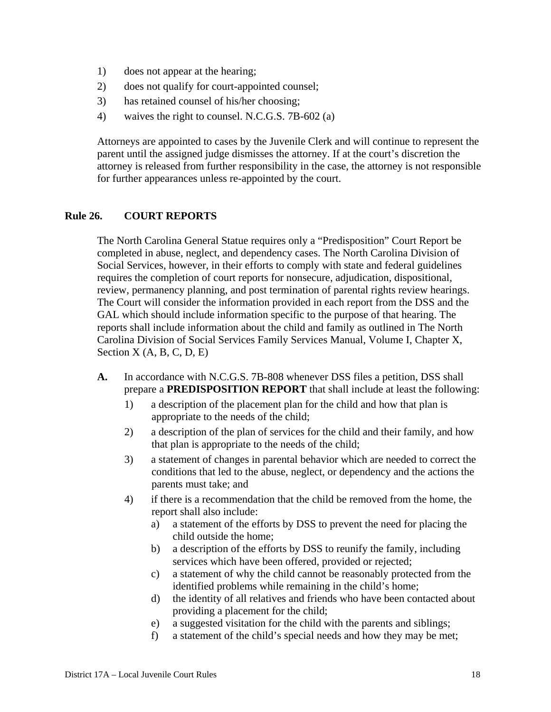- 1) does not appear at the hearing;
- 2) does not qualify for court-appointed counsel;
- 3) has retained counsel of his/her choosing;
- 4) waives the right to counsel. N.C.G.S. 7B-602 (a)

Attorneys are appointed to cases by the Juvenile Clerk and will continue to represent the parent until the assigned judge dismisses the attorney. If at the court's discretion the attorney is released from further responsibility in the case, the attorney is not responsible for further appearances unless re-appointed by the court.

## **Rule 26. COURT REPORTS**

The North Carolina General Statue requires only a "Predisposition" Court Report be completed in abuse, neglect, and dependency cases. The North Carolina Division of Social Services, however, in their efforts to comply with state and federal guidelines requires the completion of court reports for nonsecure, adjudication, dispositional, review, permanency planning, and post termination of parental rights review hearings. The Court will consider the information provided in each report from the DSS and the GAL which should include information specific to the purpose of that hearing. The reports shall include information about the child and family as outlined in The North Carolina Division of Social Services Family Services Manual, Volume I, Chapter X, Section  $X(A, B, C, D, E)$ 

- **A.** In accordance with N.C.G.S. 7B-808 whenever DSS files a petition, DSS shall prepare a **PREDISPOSITION REPORT** that shall include at least the following:
	- 1) a description of the placement plan for the child and how that plan is appropriate to the needs of the child;
	- 2) a description of the plan of services for the child and their family, and how that plan is appropriate to the needs of the child;
	- 3) a statement of changes in parental behavior which are needed to correct the conditions that led to the abuse, neglect, or dependency and the actions the parents must take; and
	- 4) if there is a recommendation that the child be removed from the home, the report shall also include:
		- a) a statement of the efforts by DSS to prevent the need for placing the child outside the home;
		- b) a description of the efforts by DSS to reunify the family, including services which have been offered, provided or rejected;
		- c) a statement of why the child cannot be reasonably protected from the identified problems while remaining in the child's home;
		- d) the identity of all relatives and friends who have been contacted about providing a placement for the child;
		- e) a suggested visitation for the child with the parents and siblings;
		- f) a statement of the child's special needs and how they may be met;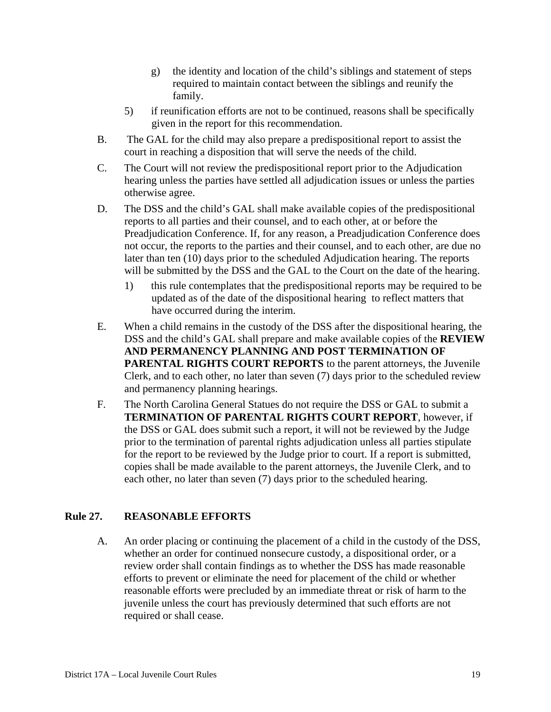- g) the identity and location of the child's siblings and statement of steps required to maintain contact between the siblings and reunify the family.
- 5) if reunification efforts are not to be continued, reasons shall be specifically given in the report for this recommendation.
- B. The GAL for the child may also prepare a predispositional report to assist the court in reaching a disposition that will serve the needs of the child.
- C. The Court will not review the predispositional report prior to the Adjudication hearing unless the parties have settled all adjudication issues or unless the parties otherwise agree.
- D. The DSS and the child's GAL shall make available copies of the predispositional reports to all parties and their counsel, and to each other, at or before the Preadjudication Conference. If, for any reason, a Preadjudication Conference does not occur, the reports to the parties and their counsel, and to each other, are due no later than ten (10) days prior to the scheduled Adjudication hearing. The reports will be submitted by the DSS and the GAL to the Court on the date of the hearing.
	- 1) this rule contemplates that the predispositional reports may be required to be updated as of the date of the dispositional hearing to reflect matters that have occurred during the interim.
- E. When a child remains in the custody of the DSS after the dispositional hearing, the DSS and the child's GAL shall prepare and make available copies of the **REVIEW AND PERMANENCY PLANNING AND POST TERMINATION OF PARENTAL RIGHTS COURT REPORTS** to the parent attorneys, the Juvenile Clerk, and to each other, no later than seven (7) days prior to the scheduled review and permanency planning hearings.
- F. The North Carolina General Statues do not require the DSS or GAL to submit a **TERMINATION OF PARENTAL RIGHTS COURT REPORT**, however, if the DSS or GAL does submit such a report, it will not be reviewed by the Judge prior to the termination of parental rights adjudication unless all parties stipulate for the report to be reviewed by the Judge prior to court. If a report is submitted, copies shall be made available to the parent attorneys, the Juvenile Clerk, and to each other, no later than seven (7) days prior to the scheduled hearing.

## **Rule 27. REASONABLE EFFORTS**

A. An order placing or continuing the placement of a child in the custody of the DSS, whether an order for continued nonsecure custody, a dispositional order, or a review order shall contain findings as to whether the DSS has made reasonable efforts to prevent or eliminate the need for placement of the child or whether reasonable efforts were precluded by an immediate threat or risk of harm to the juvenile unless the court has previously determined that such efforts are not required or shall cease.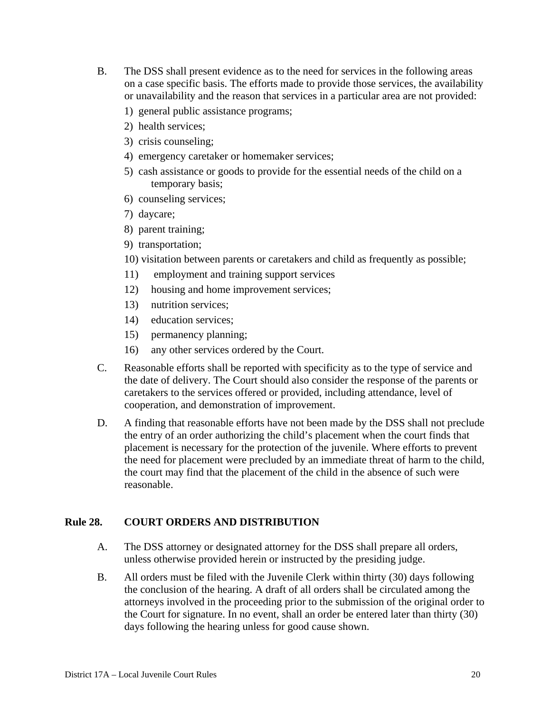- B. The DSS shall present evidence as to the need for services in the following areas on a case specific basis. The efforts made to provide those services, the availability or unavailability and the reason that services in a particular area are not provided:
	- 1) general public assistance programs;
	- 2) health services;
	- 3) crisis counseling;
	- 4) emergency caretaker or homemaker services;
	- 5) cash assistance or goods to provide for the essential needs of the child on a temporary basis;
	- 6) counseling services;
	- 7) daycare;
	- 8) parent training;
	- 9) transportation;
	- 10) visitation between parents or caretakers and child as frequently as possible;
	- 11) employment and training support services
	- 12) housing and home improvement services;
	- 13) nutrition services;
	- 14) education services;
	- 15) permanency planning;
	- 16) any other services ordered by the Court.
- C. Reasonable efforts shall be reported with specificity as to the type of service and the date of delivery. The Court should also consider the response of the parents or caretakers to the services offered or provided, including attendance, level of cooperation, and demonstration of improvement.
- D. A finding that reasonable efforts have not been made by the DSS shall not preclude the entry of an order authorizing the child's placement when the court finds that placement is necessary for the protection of the juvenile. Where efforts to prevent the need for placement were precluded by an immediate threat of harm to the child, the court may find that the placement of the child in the absence of such were reasonable.

## **Rule 28. COURT ORDERS AND DISTRIBUTION**

- A. The DSS attorney or designated attorney for the DSS shall prepare all orders, unless otherwise provided herein or instructed by the presiding judge.
- B. All orders must be filed with the Juvenile Clerk within thirty (30) days following the conclusion of the hearing. A draft of all orders shall be circulated among the attorneys involved in the proceeding prior to the submission of the original order to the Court for signature. In no event, shall an order be entered later than thirty (30) days following the hearing unless for good cause shown.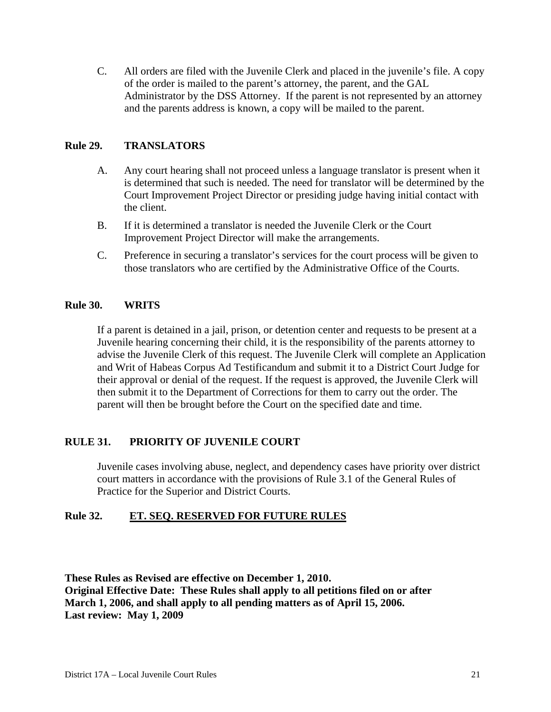C. All orders are filed with the Juvenile Clerk and placed in the juvenile's file. A copy of the order is mailed to the parent's attorney, the parent, and the GAL Administrator by the DSS Attorney. If the parent is not represented by an attorney and the parents address is known, a copy will be mailed to the parent.

## **Rule 29. TRANSLATORS**

- A. Any court hearing shall not proceed unless a language translator is present when it is determined that such is needed. The need for translator will be determined by the Court Improvement Project Director or presiding judge having initial contact with the client.
- B. If it is determined a translator is needed the Juvenile Clerk or the Court Improvement Project Director will make the arrangements.
- C. Preference in securing a translator's services for the court process will be given to those translators who are certified by the Administrative Office of the Courts.

### **Rule 30. WRITS**

If a parent is detained in a jail, prison, or detention center and requests to be present at a Juvenile hearing concerning their child, it is the responsibility of the parents attorney to advise the Juvenile Clerk of this request. The Juvenile Clerk will complete an Application and Writ of Habeas Corpus Ad Testificandum and submit it to a District Court Judge for their approval or denial of the request. If the request is approved, the Juvenile Clerk will then submit it to the Department of Corrections for them to carry out the order. The parent will then be brought before the Court on the specified date and time.

### **RULE 31. PRIORITY OF JUVENILE COURT**

Juvenile cases involving abuse, neglect, and dependency cases have priority over district court matters in accordance with the provisions of Rule 3.1 of the General Rules of Practice for the Superior and District Courts.

## **Rule 32. ET. SEQ. RESERVED FOR FUTURE RULES**

**These Rules as Revised are effective on December 1, 2010. Original Effective Date: These Rules shall apply to all petitions filed on or after March 1, 2006, and shall apply to all pending matters as of April 15, 2006. Last review: May 1, 2009**